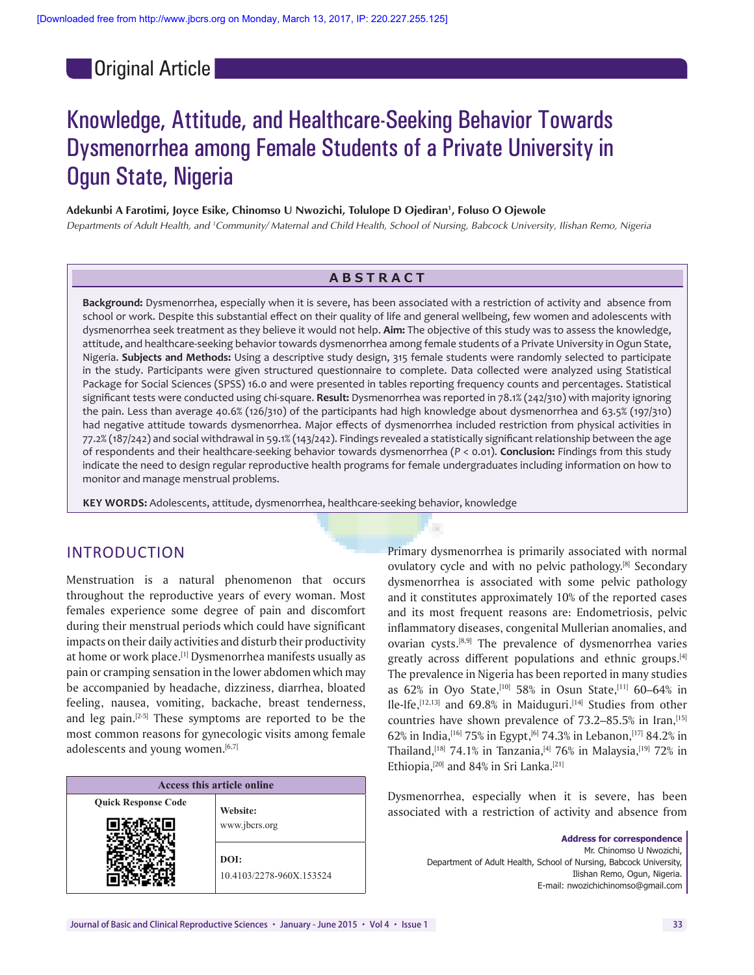**Original Article** 

# Knowledge, Attitude, and Healthcare-Seeking Behavior Towards Dysmenorrhea among Female Students of a Private University in Ogun State, Nigeria

**Adekunbi A Farotimi, Joyce Esike, Chinomso U Nwozichi, Tolulope D Ojediran1 , Foluso O Ojewole**

*Departments of Adult Health, and 1 Community/ Maternal and Child Health, School of Nursing, Babcock University, Ilishan Remo, Nigeria*

# **ABSTRACT**

**Background:** Dysmenorrhea, especially when it is severe, has been associated with a restriction of activity and absence from school or work. Despite this substantial effect on their quality of life and general wellbeing, few women and adolescents with dysmenorrhea seek treatment as they believe it would not help. **Aim:** The objective of this study was to assess the knowledge, attitude, and healthcare-seeking behavior towards dysmenorrhea among female students of a Private University in Ogun State, Nigeria. **Subjects and Methods:** Using a descriptive study design, 315 female students were randomly selected to participate in the study. Participants were given structured questionnaire to complete. Data collected were analyzed using Statistical Package for Social Sciences (SPSS) 16.0 and were presented in tables reporting frequency counts and percentages. Statistical significant tests were conducted using chi-square. **Result:** Dysmenorrhea was reported in 78.1% (242/310) with majority ignoring the pain. Less than average 40.6% (126/310) of the participants had high knowledge about dysmenorrhea and 63.5% (197/310) had negative attitude towards dysmenorrhea. Major effects of dysmenorrhea included restriction from physical activities in 77.2% (187/242) and social withdrawal in 59.1% (143/242). Findings revealed a statistically significant relationship between the age of respondents and their healthcare-seeking behavior towards dysmenorrhea (*P* < 0.01). **Conclusion:** Findings from this study indicate the need to design regular reproductive health programs for female undergraduates including information on how to monitor and manage menstrual problems.

**KEY WORDS:** Adolescents, attitude, dysmenorrhea, healthcare-seeking behavior, knowledge

# INTRODUCTION

Menstruation is a natural phenomenon that occurs throughout the reproductive years of every woman. Most females experience some degree of pain and discomfort during their menstrual periods which could have significant impacts on their daily activities and disturb their productivity at home or work place.<sup>[1]</sup> Dysmenorrhea manifests usually as pain or cramping sensation in the lower abdomen which may be accompanied by headache, dizziness, diarrhea, bloated feeling, nausea, vomiting, backache, breast tenderness, and leg pain. $[2-5]$  These symptoms are reported to be the most common reasons for gynecologic visits among female adolescents and young women.<sup>[6,7]</sup>

| Access this article online |                          |  |  |  |
|----------------------------|--------------------------|--|--|--|
| <b>Quick Response Code</b> | Website:                 |  |  |  |
|                            | www.jbcrs.org            |  |  |  |
|                            | DOI:                     |  |  |  |
|                            | 10.4103/2278-960X.153524 |  |  |  |

Primary dysmenorrhea is primarily associated with normal ovulatory cycle and with no pelvic pathology.<sup>[8]</sup> Secondary dysmenorrhea is associated with some pelvic pathology and it constitutes approximately 10% of the reported cases and its most frequent reasons are: Endometriosis, pelvic inflammatory diseases, congenital Mullerian anomalies, and ovarian cysts.[8,9] The prevalence of dysmenorrhea varies greatly across different populations and ethnic groups.[4] The prevalence in Nigeria has been reported in many studies as 62% in Oyo State,<sup>[10]</sup> 58% in Osun State,<sup>[11]</sup> 60-64% in Ile-Ife,<sup>[12,13]</sup> and 69.8% in Maiduguri.<sup>[14]</sup> Studies from other countries have shown prevalence of  $73.2-85.5\%$  in Iran,  $[15]$ 62% in India, [16] 75% in Egypt, [6] 74.3% in Lebanon, [17] 84.2% in Thailand,<sup>[18]</sup> 74.1% in Tanzania,<sup>[4]</sup> 76% in Malaysia,<sup>[19]</sup> 72% in Ethiopia,<sup>[20]</sup> and 84% in Sri Lanka.<sup>[21]</sup>

Dysmenorrhea, especially when it is severe, has been associated with a restriction of activity and absence from

> **Address for correspondence**  Mr. Chinomso U Nwozichi, Department of Adult Health, School of Nursing, Babcock University, Ilishan Remo, Ogun, Nigeria. E-mail: nwozichichinomso@gmail.com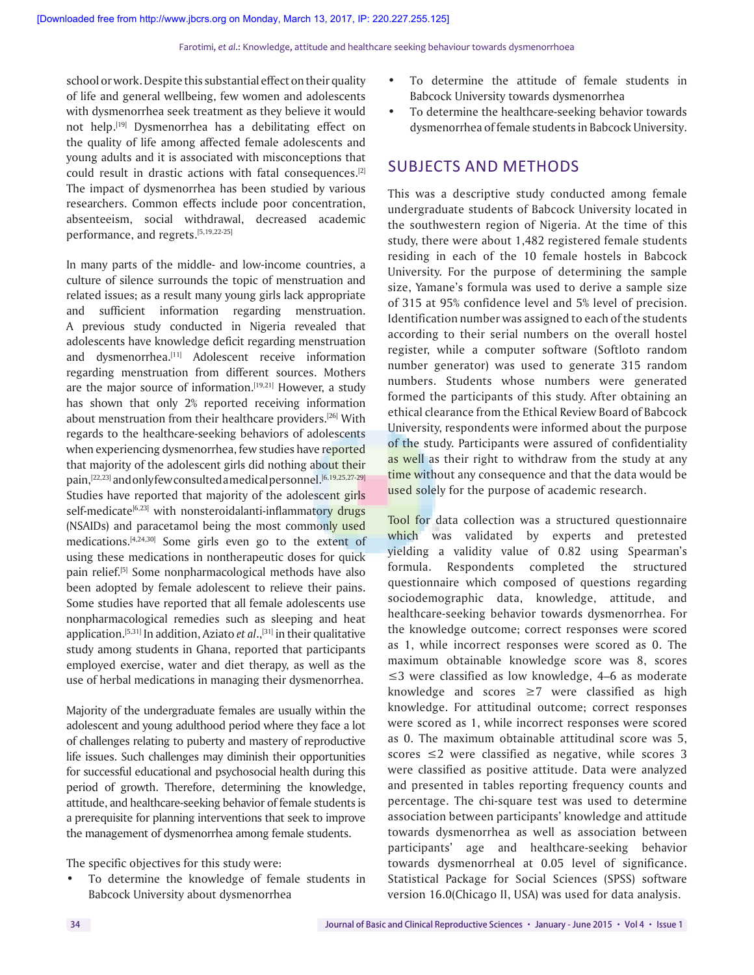school or work. Despite this substantial effect on their quality of life and general wellbeing, few women and adolescents with dysmenorrhea seek treatment as they believe it would not help.[19] Dysmenorrhea has a debilitating effect on the quality of life among affected female adolescents and young adults and it is associated with misconceptions that could result in drastic actions with fatal consequences.[2] The impact of dysmenorrhea has been studied by various researchers. Common effects include poor concentration, absenteeism, social withdrawal, decreased academic performance, and regrets.[5,19,22-25]

In many parts of the middle- and low-income countries, a culture of silence surrounds the topic of menstruation and related issues; as a result many young girls lack appropriate and sufficient information regarding menstruation. A previous study conducted in Nigeria revealed that adolescents have knowledge deficit regarding menstruation and dysmenorrhea.<sup>[11]</sup> Adolescent receive information regarding menstruation from different sources. Mothers are the major source of information.<sup>[19,21]</sup> However, a study has shown that only 2% reported receiving information about menstruation from their healthcare providers.[26] With regards to the healthcare-seeking behaviors of adolescents when experiencing dysmenorrhea, few studies have reported that majority of the adolescent girls did nothing about their pain,<sup>[22,23]</sup> and only few consulted a medical personnel.<sup>[6,19,25,27-29]</sup> Studies have reported that majority of the adolescent girls self-medicate<sup>[6,23]</sup> with nonsteroidalanti-inflammatory drugs (NSAIDs) and paracetamol being the most commonly used medications.[4,24,30] Some girls even go to the extent of using these medications in nontherapeutic doses for quick pain relief.[5] Some nonpharmacological methods have also been adopted by female adolescent to relieve their pains. Some studies have reported that all female adolescents use nonpharmacological remedies such as sleeping and heat application.<sup>[5,31]</sup> In addition, Aziato *et al*.,<sup>[31]</sup> in their qualitative study among students in Ghana, reported that participants employed exercise, water and diet therapy, as well as the use of herbal medications in managing their dysmenorrhea.

Majority of the undergraduate females are usually within the adolescent and young adulthood period where they face a lot of challenges relating to puberty and mastery of reproductive life issues. Such challenges may diminish their opportunities for successful educational and psychosocial health during this period of growth. Therefore, determining the knowledge, attitude, and healthcare-seeking behavior of female students is a prerequisite for planning interventions that seek to improve the management of dysmenorrhea among female students.

The specific objectives for this study were:

To determine the knowledge of female students in Babcock University about dysmenorrhea

- • To determine the attitude of female students in Babcock University towards dysmenorrhea
- • To determine the healthcare-seeking behavior towards dysmenorrhea of female students in Babcock University.

# SUBJECTS AND METHODS

This was a descriptive study conducted among female undergraduate students of Babcock University located in the southwestern region of Nigeria. At the time of this study, there were about 1,482 registered female students residing in each of the 10 female hostels in Babcock University. For the purpose of determining the sample size, Yamane's formula was used to derive a sample size of 315 at 95% confidence level and 5% level of precision. Identification number was assigned to each of the students according to their serial numbers on the overall hostel register, while a computer software (Softloto random number generator) was used to generate 315 random numbers. Students whose numbers were generated formed the participants of this study. After obtaining an ethical clearance from the Ethical Review Board of Babcock University, respondents were informed about the purpose of the study. Participants were assured of confidentiality as well as their right to withdraw from the study at any time without any consequence and that the data would be used solely for the purpose of academic research.

Tool for data collection was a structured questionnaire which was validated by experts and pretested yielding a validity value of 0.82 using Spearman's formula. Respondents completed the structured questionnaire which composed of questions regarding sociodemographic data, knowledge, attitude, and healthcare-seeking behavior towards dysmenorrhea. For the knowledge outcome; correct responses were scored as 1, while incorrect responses were scored as 0. The maximum obtainable knowledge score was 8, scores ≤3 were classified as low knowledge, 4–6 as moderate knowledge and scores  $\geq$ 7 were classified as high knowledge. For attitudinal outcome; correct responses were scored as 1, while incorrect responses were scored as 0. The maximum obtainable attitudinal score was 5, scores  $\leq$  were classified as negative, while scores 3 were classified as positive attitude. Data were analyzed and presented in tables reporting frequency counts and percentage. The chi-square test was used to determine association between participants' knowledge and attitude towards dysmenorrhea as well as association between participants' age and healthcare-seeking behavior towards dysmenorrheal at 0.05 level of significance. Statistical Package for Social Sciences (SPSS) software version 16.0(Chicago II, USA) was used for data analysis.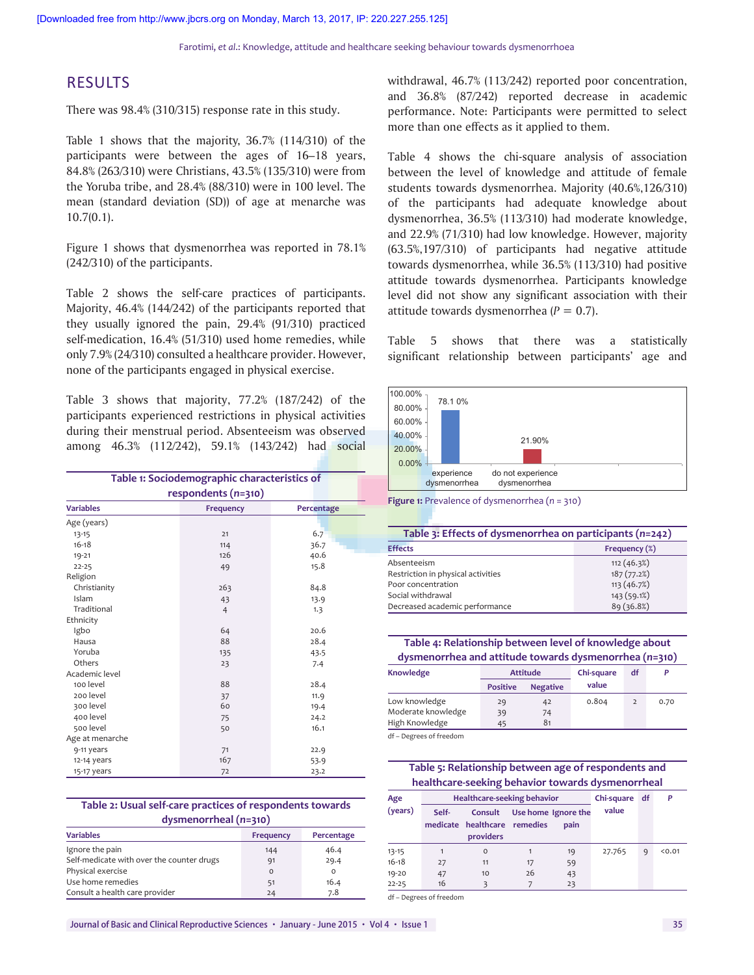Farotimi, *et al*.: Knowledge, attitude and healthcare seeking behaviour towards dysmenorrhoea

# RESULTS

There was 98.4% (310/315) response rate in this study.

Table 1 shows that the majority, 36.7% (114/310) of the participants were between the ages of 16–18 years, 84.8% (263/310) were Christians, 43.5% (135/310) were from the Yoruba tribe, and 28.4% (88/310) were in 100 level. The mean (standard deviation (SD)) of age at menarche was 10.7(0.1).

Figure 1 shows that dysmenorrhea was reported in 78.1% (242/310) of the participants.

Table 2 shows the self-care practices of participants. Majority, 46.4% (144/242) of the participants reported that they usually ignored the pain, 29.4% (91/310) practiced self-medication, 16.4% (51/310) used home remedies, while only 7.9% (24/310) consulted a healthcare provider. However, none of the participants engaged in physical exercise.

Table 3 shows that majority, 77.2% (187/242) of the participants experienced restrictions in physical activities during their menstrual period. Absenteeism was observed among 46.3% (112/242), 59.1% (143/242) had social

| Table 1: Sociodemographic characteristics of |                  |            |  |  |  |  |
|----------------------------------------------|------------------|------------|--|--|--|--|
| respondents (n=310)                          |                  |            |  |  |  |  |
| <b>Variables</b>                             | <b>Frequency</b> | Percentage |  |  |  |  |
| Age (years)                                  |                  |            |  |  |  |  |
| $13 - 15$                                    | 21               | 6.7        |  |  |  |  |
| $16 - 18$                                    | 114              | 36.7       |  |  |  |  |
| $19 - 21$                                    | 126              | 40.6       |  |  |  |  |
| $22 - 25$                                    | 49               | 15.8       |  |  |  |  |
| Religion                                     |                  |            |  |  |  |  |
| Christianity                                 | 263              | 84.8       |  |  |  |  |
| Islam                                        | 43               | 13.9       |  |  |  |  |
| Traditional                                  | $\overline{4}$   | 1.3        |  |  |  |  |
| Ethnicity                                    |                  |            |  |  |  |  |
| Igbo                                         | 64               | 20.6       |  |  |  |  |
| Hausa                                        | 88               | 28.4       |  |  |  |  |
| Yoruba                                       | 135              | 43.5       |  |  |  |  |
| Others                                       | 23               | 7.4        |  |  |  |  |
| Academic level                               |                  |            |  |  |  |  |
| 100 level                                    | 88               | 28.4       |  |  |  |  |
| 200 level                                    | 37               | 11.9       |  |  |  |  |
| 300 level                                    | 60               | 19.4       |  |  |  |  |
| 400 level                                    | 75               | 24.2       |  |  |  |  |
| 500 level                                    | 50               | 16.1       |  |  |  |  |
| Age at menarche                              |                  |            |  |  |  |  |
| 9-11 years                                   | 71               | 22.9       |  |  |  |  |
| 12-14 years                                  | 167              | 53.9       |  |  |  |  |
| 15-17 years                                  | 72               | 23.2       |  |  |  |  |

| Table 2: Usual self-care practices of respondents towards |  |
|-----------------------------------------------------------|--|
| $d$ ysmenorrheal $(n=310)$                                |  |

| ---------------                           |           |            |  |  |  |  |
|-------------------------------------------|-----------|------------|--|--|--|--|
| <b>Variables</b>                          | Frequency | Percentage |  |  |  |  |
| Ignore the pain                           | 144       | 46.4       |  |  |  |  |
| Self-medicate with over the counter drugs | 91        | 29.4       |  |  |  |  |
| Physical exercise                         | $\Omega$  | o          |  |  |  |  |
| Use home remedies                         | 51        | 16.4       |  |  |  |  |
| Consult a health care provider            | 24        | 7.8        |  |  |  |  |

withdrawal, 46.7% (113/242) reported poor concentration, and 36.8% (87/242) reported decrease in academic performance. Note: Participants were permitted to select more than one effects as it applied to them.

Table 4 shows the chi-square analysis of association between the level of knowledge and attitude of female students towards dysmenorrhea. Majority (40.6%,126/310) of the participants had adequate knowledge about dysmenorrhea, 36.5% (113/310) had moderate knowledge, and 22.9% (71/310) had low knowledge. However, majority (63.5%,197/310) of participants had negative attitude towards dysmenorrhea, while 36.5% (113/310) had positive attitude towards dysmenorrhea. Participants knowledge level did not show any significant association with their attitude towards dysmenorrhea (*P* = 0.7).

Table 5 shows that there was a statistically significant relationship between participants' age and



**Figure 1:** Prevalence of dysmenorrhea (*n* = 310)

| Table 3: Effects of dysmenorrhea on participants (n=242) |               |  |  |
|----------------------------------------------------------|---------------|--|--|
| <b>Effects</b>                                           | Frequency (%) |  |  |
| Absenteeism                                              | 112(46.3%)    |  |  |
| Restriction in physical activities                       | 187(77.2%)    |  |  |
| Poor concentration                                       | 113(46.7%)    |  |  |
| Social withdrawal                                        | 143 (59.1%)   |  |  |
| Decreased academic performance                           | 89 (36.8%)    |  |  |

**Table 4: Relationship between level of knowledge about dysmenorrhea and attitude towards dysmenorrhea (***n***=310)**

| Knowledge          | <b>Attitude</b> |                 | Chi-square | df             | P    |
|--------------------|-----------------|-----------------|------------|----------------|------|
|                    | <b>Positive</b> | <b>Negative</b> | value      |                |      |
| Low knowledge      | 29              | 42              | 0.804      | $\overline{2}$ | 0.70 |
| Moderate knowledge | 39              | 74              |            |                |      |
| High Knowledge     | 45              | 81              |            |                |      |
| de Nousseul Cordon |                 |                 |            |                |      |

– Degrees of freedom

**Table 5: Relationship between age of respondents and healthcare‑seeking behavior towards dysmenorrheal**

| Age       | <b>Healthcare-seeking behavior</b> |                                                      |    |                             | Chi-square | df | P      |
|-----------|------------------------------------|------------------------------------------------------|----|-----------------------------|------------|----|--------|
| (years)   | Self-                              | Consult<br>medicate healthcare remedies<br>providers |    | Use home Ignore the<br>pain | value      |    |        |
| $13 - 15$ |                                    | $\circ$                                              |    | 19                          | 27.765     | 9  | < 0.01 |
| $16 - 18$ | 27                                 | 11                                                   | 17 | 59                          |            |    |        |
| $19 - 20$ | 47                                 | 10                                                   | 26 | 43                          |            |    |        |
| $22 - 25$ | 16                                 | 3                                                    |    | 23                          |            |    |        |

df – Degrees of freedom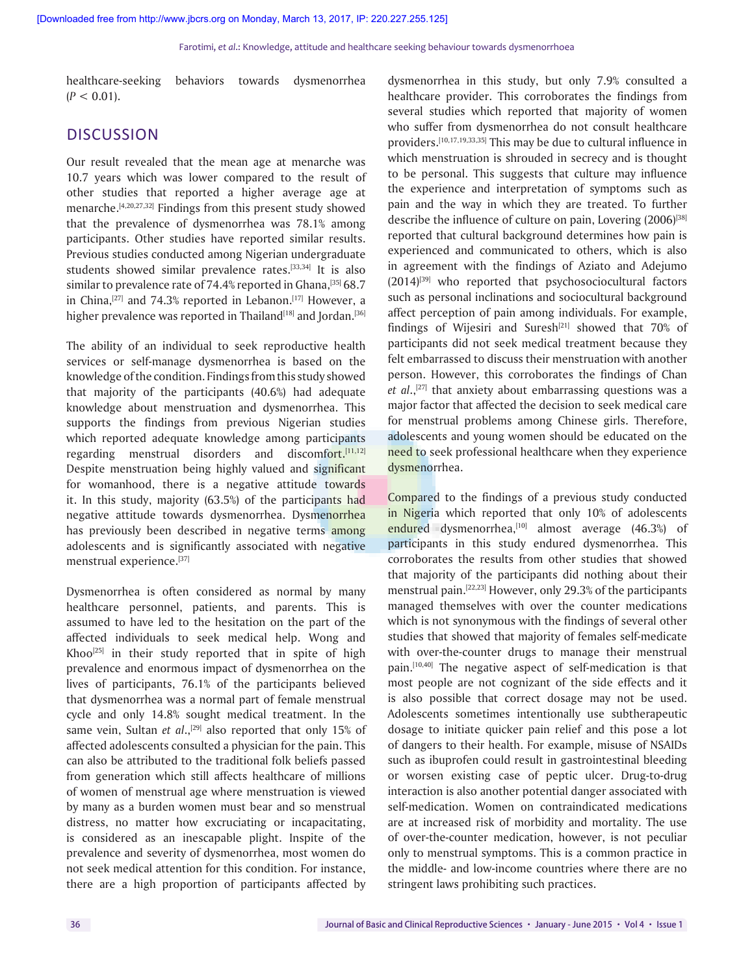healthcare-seeking behaviors towards dysmenorrhea  $(P < 0.01)$ .

# **DISCUSSION**

Our result revealed that the mean age at menarche was 10.7 years which was lower compared to the result of other studies that reported a higher average age at menarche.[4,20,27,32] Findings from this present study showed that the prevalence of dysmenorrhea was 78.1% among participants. Other studies have reported similar results. Previous studies conducted among Nigerian undergraduate students showed similar prevalence rates.<sup>[33,34]</sup> It is also similar to prevalence rate of 74.4% reported in Ghana, [35] 68.7 in China, $[27]$  and 74.3% reported in Lebanon. $[17]$  However, a higher prevalence was reported in Thailand<sup>[18]</sup> and Jordan.<sup>[36]</sup>

The ability of an individual to seek reproductive health services or self-manage dysmenorrhea is based on the knowledge of the condition. Findings from this study showed that majority of the participants (40.6%) had adequate knowledge about menstruation and dysmenorrhea. This supports the findings from previous Nigerian studies which reported adequate knowledge among participants regarding menstrual disorders and discomfort.<sup>[11,12]</sup> Despite menstruation being highly valued and significant for womanhood, there is a negative attitude towards it. In this study, majority (63.5%) of the participants had negative attitude towards dysmenorrhea. Dysmenorrhea has previously been described in negative terms among adolescents and is significantly associated with negative menstrual experience.[37]

Dysmenorrhea is often considered as normal by many healthcare personnel, patients, and parents. This is assumed to have led to the hesitation on the part of the affected individuals to seek medical help. Wong and Khoo<sup>[25]</sup> in their study reported that in spite of high prevalence and enormous impact of dysmenorrhea on the lives of participants, 76.1% of the participants believed that dysmenorrhea was a normal part of female menstrual cycle and only 14.8% sought medical treatment. In the same vein, Sultan *et al.*,<sup>[29]</sup> also reported that only 15% of affected adolescents consulted a physician for the pain. This can also be attributed to the traditional folk beliefs passed from generation which still affects healthcare of millions of women of menstrual age where menstruation is viewed by many as a burden women must bear and so menstrual distress, no matter how excruciating or incapacitating, is considered as an inescapable plight. Inspite of the prevalence and severity of dysmenorrhea, most women do not seek medical attention for this condition. For instance, there are a high proportion of participants affected by

dysmenorrhea in this study, but only 7.9% consulted a healthcare provider. This corroborates the findings from several studies which reported that majority of women who suffer from dysmenorrhea do not consult healthcare providers.[10,17,19,33,35] This may be due to cultural influence in which menstruation is shrouded in secrecy and is thought to be personal. This suggests that culture may influence the experience and interpretation of symptoms such as pain and the way in which they are treated. To further describe the influence of culture on pain, Lovering (2006)<sup>[38]</sup> reported that cultural background determines how pain is experienced and communicated to others, which is also in agreement with the findings of Aziato and Adejumo  $(2014)^{[39]}$  who reported that psychosociocultural factors such as personal inclinations and sociocultural background affect perception of pain among individuals. For example, findings of Wijesiri and Suresh<sup>[21]</sup> showed that  $70\%$  of participants did not seek medical treatment because they felt embarrassed to discuss their menstruation with another person. However, this corroborates the findings of Chan *et al*.,[27] that anxiety about embarrassing questions was a major factor that affected the decision to seek medical care for menstrual problems among Chinese girls. Therefore, adolescents and young women should be educated on the need to seek professional healthcare when they experience dysmenorrhea.

Compared to the findings of a previous study conducted in Nigeria which reported that only 10% of adolescents endured dysmenorrhea,<sup>[10]</sup> almost average (46.3%) of participants in this study endured dysmenorrhea. This corroborates the results from other studies that showed that majority of the participants did nothing about their menstrual pain.[22,23] However, only 29.3% of the participants managed themselves with over the counter medications which is not synonymous with the findings of several other studies that showed that majority of females self-medicate with over-the-counter drugs to manage their menstrual pain.<sup>[10,40]</sup> The negative aspect of self-medication is that most people are not cognizant of the side effects and it is also possible that correct dosage may not be used. Adolescents sometimes intentionally use subtherapeutic dosage to initiate quicker pain relief and this pose a lot of dangers to their health. For example, misuse of NSAIDs such as ibuprofen could result in gastrointestinal bleeding or worsen existing case of peptic ulcer. Drug-to-drug interaction is also another potential danger associated with self-medication. Women on contraindicated medications are at increased risk of morbidity and mortality. The use of over-the-counter medication, however, is not peculiar only to menstrual symptoms. This is a common practice in the middle- and low-income countries where there are no stringent laws prohibiting such practices.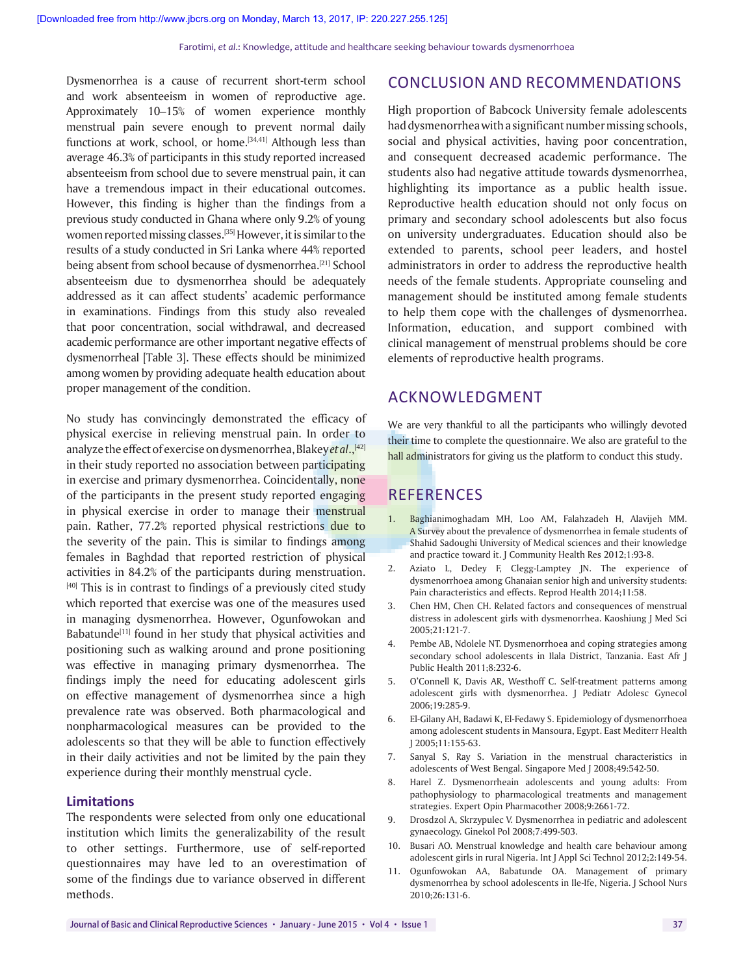Dysmenorrhea is a cause of recurrent short-term school and work absenteeism in women of reproductive age. Approximately 10–15% of women experience monthly menstrual pain severe enough to prevent normal daily functions at work, school, or home. $[34,41]$  Although less than average 46.3% of participants in this study reported increased absenteeism from school due to severe menstrual pain, it can have a tremendous impact in their educational outcomes. However, this finding is higher than the findings from a previous study conducted in Ghana where only 9.2% of young women reported missing classes.[35] However, it is similar to the results of a study conducted in Sri Lanka where 44% reported being absent from school because of dysmenorrhea.<sup>[21]</sup> School absenteeism due to dysmenorrhea should be adequately addressed as it can affect students' academic performance in examinations. Findings from this study also revealed that poor concentration, social withdrawal, and decreased academic performance are other important negative effects of dysmenorrheal [Table 3]. These effects should be minimized among women by providing adequate health education about proper management of the condition.

No study has convincingly demonstrated the efficacy of physical exercise in relieving menstrual pain. In order to analyze the effect of exercise on dysmenorrhea, Blakey *et al.*,<sup>[42]</sup> in their study reported no association between participating in exercise and primary dysmenorrhea. Coincidentally, none of the participants in the present study reported engaging in physical exercise in order to manage their menstrual pain. Rather, 77.2% reported physical restrictions due to the severity of the pain. This is similar to findings among females in Baghdad that reported restriction of physical activities in 84.2% of the participants during menstruation.  $[40]$  This is in contrast to findings of a previously cited study which reported that exercise was one of the measures used in managing dysmenorrhea. However, Ogunfowokan and Babatunde $[11]$  found in her study that physical activities and positioning such as walking around and prone positioning was effective in managing primary dysmenorrhea. The findings imply the need for educating adolescent girls on effective management of dysmenorrhea since a high prevalence rate was observed. Both pharmacological and nonpharmacological measures can be provided to the adolescents so that they will be able to function effectively in their daily activities and not be limited by the pain they experience during their monthly menstrual cycle.

#### **Limitations**

The respondents were selected from only one educational institution which limits the generalizability of the result to other settings. Furthermore, use of self-reported questionnaires may have led to an overestimation of some of the findings due to variance observed in different methods.

# CONCLUSION AND RECOMMENDATIONS

High proportion of Babcock University female adolescents had dysmenorrhea with a significant number missing schools, social and physical activities, having poor concentration, and consequent decreased academic performance. The students also had negative attitude towards dysmenorrhea, highlighting its importance as a public health issue. Reproductive health education should not only focus on primary and secondary school adolescents but also focus on university undergraduates. Education should also be extended to parents, school peer leaders, and hostel administrators in order to address the reproductive health needs of the female students. Appropriate counseling and management should be instituted among female students to help them cope with the challenges of dysmenorrhea. Information, education, and support combined with clinical management of menstrual problems should be core elements of reproductive health programs.

## ACKNOWLEDGMENT

We are very thankful to all the participants who willingly devoted their time to complete the questionnaire. We also are grateful to the hall administrators for giving us the platform to conduct this study.

## REFERENCES

- 1. Baghianimoghadam MH, Loo AM, Falahzadeh H, Alavijeh MM. A Survey about the prevalence of dysmenorrhea in female students of Shahid Sadoughi University of Medical sciences and their knowledge and practice toward it. J Community Health Res 2012;1:93-8.
- 2. Aziato L, Dedey F, Clegg-Lamptey JN. The experience of dysmenorrhoea among Ghanaian senior high and university students: Pain characteristics and effects. Reprod Health 2014;11:58.
- 3. Chen HM, Chen CH. Related factors and consequences of menstrual distress in adolescent girls with dysmenorrhea. Kaoshiung J Med Sci 2005;21:121-7.
- 4. Pembe AB, Ndolele NT. Dysmenorrhoea and coping strategies among secondary school adolescents in Ilala District, Tanzania. East Afr J Public Health 2011;8:232-6.
- 5. O'Connell K, Davis AR, Westhoff C. Self-treatment patterns among adolescent girls with dysmenorrhea. J Pediatr Adolesc Gynecol 2006;19:285-9.
- 6. El-Gilany AH, Badawi K, El-Fedawy S. Epidemiology of dysmenorrhoea among adolescent students in Mansoura, Egypt. East Mediterr Health J 2005;11:155-63.
- 7. Sanyal S, Ray S. Variation in the menstrual characteristics in adolescents of West Bengal. Singapore Med J 2008;49:542-50.
- 8. Harel Z. Dysmenorrheain adolescents and young adults: From pathophysiology to pharmacological treatments and management strategies. Expert Opin Pharmacother 2008;9:2661-72.
- 9. Drosdzol A, Skrzypulec V. Dysmenorrhea in pediatric and adolescent gynaecology. Ginekol Pol 2008;7:499-503.
- 10. Busari AO. Menstrual knowledge and health care behaviour among adolescent girls in rural Nigeria. Int J Appl Sci Technol 2012;2:149-54.
- 11. Ogunfowokan AA, Babatunde OA. Management of primary dysmenorrhea by school adolescents in Ile-Ife, Nigeria. J School Nurs 2010;26:131-6.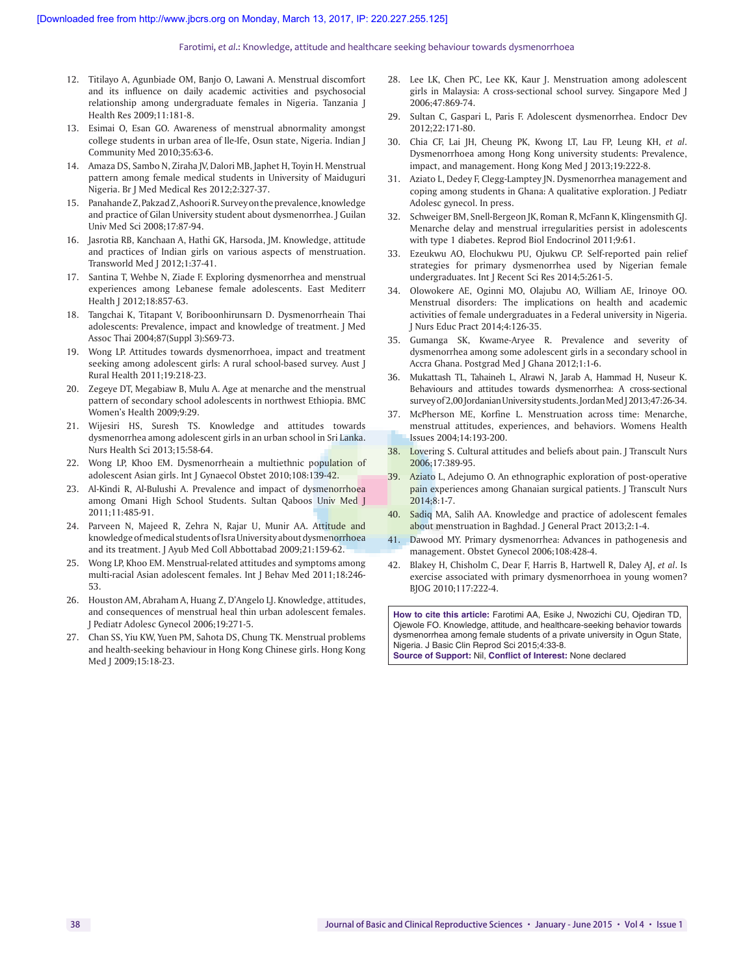#### Farotimi, *et al*.: Knowledge, attitude and healthcare seeking behaviour towards dysmenorrhoea

- 12. Titilayo A, Agunbiade OM, Banjo O, Lawani A. Menstrual discomfort and its influence on daily academic activities and psychosocial relationship among undergraduate females in Nigeria. Tanzania J Health Res 2009;11:181-8.
- 13. Esimai O, Esan GO. Awareness of menstrual abnormality amongst college students in urban area of Ile-Ife, Osun state, Nigeria. Indian J Community Med 2010;35:63-6.
- 14. Amaza DS, Sambo N, Ziraha JV, Dalori MB, Japhet H, Toyin H. Menstrual pattern among female medical students in University of Maiduguri Nigeria. Br J Med Medical Res 2012;2:327-37.
- 15. Panahande Z, Pakzad Z, Ashoori R. Survey on the prevalence, knowledge and practice of Gilan University student about dysmenorrhea. J Guilan Univ Med Sci 2008;17:87-94.
- 16. Jasrotia RB, Kanchaan A, Hathi GK, Harsoda, JM. Knowledge, attitude and practices of Indian girls on various aspects of menstruation. Transworld Med J 2012;1:37-41.
- 17. Santina T, Wehbe N, Ziade F. Exploring dysmenorrhea and menstrual experiences among Lebanese female adolescents. East Mediterr Health J 2012;18:857-63.
- 18. Tangchai K, Titapant V, Boriboonhirunsarn D. Dysmenorrheain Thai adolescents: Prevalence, impact and knowledge of treatment. J Med Assoc Thai 2004;87(Suppl 3):S69-73.
- 19. Wong LP. Attitudes towards dysmenorrhoea, impact and treatment seeking among adolescent girls: A rural school-based survey. Aust J Rural Health 2011;19:218-23.
- 20. Zegeye DT, Megabiaw B, Mulu A. Age at menarche and the menstrual pattern of secondary school adolescents in northwest Ethiopia. BMC Women's Health 2009;9:29.
- 21. Wijesiri HS, Suresh TS. Knowledge and attitudes towards dysmenorrhea among adolescent girls in an urban school in Sri Lanka. Nurs Health Sci 2013;15:58-64.
- 22. Wong LP, Khoo EM. Dysmenorrheain a multiethnic population of adolescent Asian girls. Int J Gynaecol Obstet 2010;108:139-42.
- 23. Al-Kindi R, Al-Bulushi A. Prevalence and impact of dysmenorrhoea among Omani High School Students. Sultan Qaboos Univ Med J 2011;11:485-91.
- 24. Parveen N, Majeed R, Zehra N, Rajar U, Munir AA. Attitude and knowledge of medical students of Isra University about dysmenorrhoea and its treatment. J Ayub Med Coll Abbottabad 2009;21:159-62.
- 25. Wong LP, Khoo EM. Menstrual-related attitudes and symptoms among multi-racial Asian adolescent females. Int J Behav Med 2011;18:246- 53.
- 26. Houston AM, Abraham A, Huang Z, D'Angelo LJ. Knowledge, attitudes, and consequences of menstrual heal thin urban adolescent females. J Pediatr Adolesc Gynecol 2006;19:271-5.
- 27. Chan SS, Yiu KW, Yuen PM, Sahota DS, Chung TK. Menstrual problems and health-seeking behaviour in Hong Kong Chinese girls. Hong Kong Med J 2009;15:18-23.
- 28. Lee LK, Chen PC, Lee KK, Kaur J. Menstruation among adolescent girls in Malaysia: A cross-sectional school survey. Singapore Med J 2006;47:869-74.
- 29. Sultan C, Gaspari L, Paris F. Adolescent dysmenorrhea. Endocr Dev 2012;22:171-80.
- 30. Chia CF, Lai JH, Cheung PK, Kwong LT, Lau FP, Leung KH, *et al*. Dysmenorrhoea among Hong Kong university students: Prevalence, impact, and management. Hong Kong Med J 2013;19:222-8.
- 31. Aziato L, Dedey F, Clegg-Lamptey JN. Dysmenorrhea management and coping among students in Ghana: A qualitative exploration. J Pediatr Adolesc gynecol. In press.
- 32. Schweiger BM, Snell-Bergeon JK, Roman R, McFann K, Klingensmith GJ. Menarche delay and menstrual irregularities persist in adolescents with type 1 diabetes. Reprod Biol Endocrinol 2011;9:61.
- 33. Ezeukwu AO, Elochukwu PU, Ojukwu CP. Self-reported pain relief strategies for primary dysmenorrhea used by Nigerian female undergraduates. Int J Recent Sci Res 2014;5:261-5.
- 34. Olowokere AE, Oginni MO, Olajubu AO, William AE, Irinoye OO. Menstrual disorders: The implications on health and academic activities of female undergraduates in a Federal university in Nigeria. J Nurs Educ Pract 2014;4:126-35.
- 35. Gumanga SK, Kwame-Aryee R. Prevalence and severity of dysmenorrhea among some adolescent girls in a secondary school in Accra Ghana. Postgrad Med J Ghana 2012;1:1-6.
- 36. Mukattash TL, Tahaineh L, Alrawi N, Jarab A, Hammad H, Nuseur K. Behaviours and attitudes towards dysmenorrhea: A cross-sectional survey of 2,00 Jordanian University students. Jordan Med J 2013;47:26-34.
- 37. McPherson ME, Korfine L. Menstruation across time: Menarche, menstrual attitudes, experiences, and behaviors. Womens Health Issues 2004;14:193-200.
- 38. Lovering S. Cultural attitudes and beliefs about pain. J Transcult Nurs 2006;17:389-95.
- 39. Aziato L, Adejumo O. An ethnographic exploration of post-operative pain experiences among Ghanaian surgical patients. J Transcult Nurs 2014;8:1-7.
- 40. Sadiq MA, Salih AA. Knowledge and practice of adolescent females about menstruation in Baghdad. J General Pract 2013;2:1-4.
- 41. Dawood MY. Primary dysmenorrhea: Advances in pathogenesis and management. Obstet Gynecol 2006;108:428-4.
- 42. Blakey H, Chisholm C, Dear F, Harris B, Hartwell R, Daley AJ, *et al*. Is exercise associated with primary dysmenorrhoea in young women? BJOG 2010;117:222-4.

**How to cite this article:** Farotimi AA, Esike J, Nwozichi CU, Ojediran TD, Ojewole FO. Knowledge, attitude, and healthcare-seeking behavior towards dysmenorrhea among female students of a private university in Ogun State, Nigeria. J Basic Clin Reprod Sci 2015;4:33-8. **Source of Support:** Nil, **Conflict of Interest:** None declared